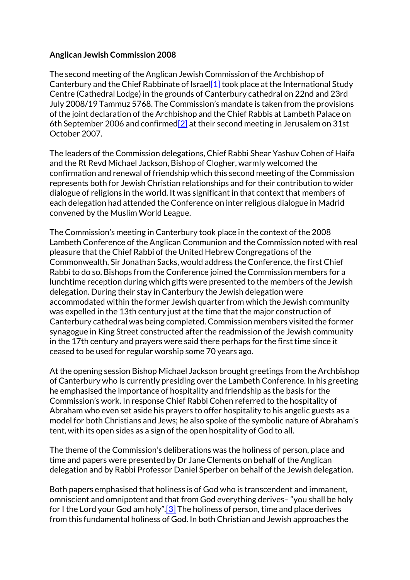## **Anglican Jewish Commission 2008**

The second meeting of the Anglican Jewish Commission of the Archbishop of Canterbury and the Chief Rabbinate of Israel[1] took place at the International Study Centre (Cathedral Lodge) in the grounds of Canterbury cathedral on 22nd and 23rd July 2008/19 Tammuz 5768. The Commission's mandate is taken from the provisions of the joint declaration of the Archbishop and the Chief Rabbis at Lambeth Palace on 6th September 2006 and confirmed  $\boxed{2}$  at their second meeting in Jerusalem on 31st October 2007.

The leaders of the Commission delegations, Chief Rabbi Shear Yashuv Cohen of Haifa and the Rt Revd Michael Jackson, Bishop of Clogher, warmly welcomed the confirmation and renewal of friendship which this second meeting of the Commission represents both for Jewish Christian relationships and for their contribution to wider dialogue of religions in the world. It was significant in that context that members of each delegation had attended the Conference on inter religious dialogue in Madrid convened by the Muslim World League.

The Commission's meeting in Canterbury took place in the context of the 2008 Lambeth Conference of the Anglican Communion and the Commission noted with real pleasure that the Chief Rabbi of the United Hebrew Congregations of the Commonwealth, Sir Jonathan Sacks, would address the Conference, the first Chief Rabbi to do so. Bishops from the Conference joined the Commission members for a lunchtime reception during which gifts were presented to the members of the Jewish delegation. During their stay in Canterbury the Jewish delegation were accommodated within the former Jewish quarter from which the Jewish community was expelled in the 13th century just at the time that the major construction of Canterbury cathedral was being completed. Commission members visited the former synagogue in King Street constructed after the readmission of the Jewish community in the 17th century and prayers were said there perhaps for the first time since it ceased to be used for regular worship some 70 years ago.

At the opening session Bishop Michael Jackson brought greetings from the Archbishop of Canterbury who is currently presiding over the Lambeth Conference. In his greeting he emphasised the importance of hospitality and friendship as the basis for the Commission's work. In response Chief Rabbi Cohen referred to the hospitality of Abraham who even set aside his prayers to offer hospitality to his angelic guests as a model for both Christians and Jews; he also spoke of the symbolic nature of Abraham's tent, with its open sides as a sign of the open hospitality of God to all.

The theme of the Commission's deliberations was the holiness of person, place and time and papers were presented by Dr Jane Clements on behalf of the Anglican delegation and by Rabbi Professor Daniel Sperber on behalf of the Jewish delegation.

Both papers emphasised that holiness is of God who is transcendent and immanent, omniscient and omnipotent and that from God everything derives– "you shall be holy for I the Lord your God am holy".[3] The holiness of person, time and place derives from this fundamental holiness of God. In both Christian and Jewish approaches the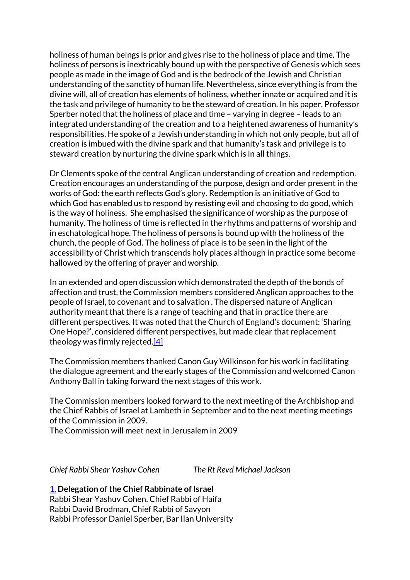holiness of human beings is prior and gives rise to the holiness of place and time. The holiness of persons is inextricably bound up with the perspective of Genesis which sees people as made in the image of God and is the bedrock of the Jewish and Christian understanding of the sanctity of human life. Nevertheless, since everything is from the divine will, all of creation has elements of holiness, whether innate or acquired and it is the task and privilege of humanity to be the steward of creation. In his paper, Professor Sperber noted that the holiness of place and time – varying in degree – leads to an integrated understanding of the creation and to a heightened awareness of humanity's responsibilities. He spoke of a Jewish understanding in which not only people, but all of creation is imbued with the divine spark and that humanity's task and privilege is to steward creation by nurturing the divine spark which is in all things.

Dr Clements spoke of the central Anglican understanding of creation and redemption. Creation encourages an understanding of the purpose, design and order present in the works of God: the earth reflects God's glory. Redemption is an initiative of God to which God has enabled us to respond by resisting evil and choosing to do good, which is the way of holiness. She emphasised the significance of worship as the purpose of humanity. The holiness of time is reflected in the rhythms and patterns of worship and in eschatological hope. The holiness of persons is bound up with the holiness of the church, the people of God. The holiness of place is to be seen in the light of the accessibility of Christ which transcends holy places although in practice some become hallowed by the offering of prayer and worship.

In an extended and open discussion which demonstrated the depth of the bonds of affection and trust, the Commission members considered Anglican approaches to the people of Israel, to covenant and to salvation . The dispersed nature of Anglican authority meant that there is a range of teaching and that in practice there are different perspectives. It was noted that the Church of England's document: 'Sharing One Hope?', considered different perspectives, but made clear that replacement theology was firmly rejected.[4]

The Commission members thanked Canon Guy Wilkinson for his work in facilitating the dialogue agreement and the early stages of the Commission and welcomed Canon Anthony Ball in taking forward the next stages of this work.

The Commission members looked forward to the next meeting of the Archbishop and the Chief Rabbis of Israel at Lambeth in September and to the next meeting meetings of the Commission in 2009.

The Commission will meet next in Jerusalem in 2009

*Chief Rabbi Shear Yashuv Cohen The Rt Revd Michael Jackson*

1. **Delegation of the Chief Rabbinate of Israel** Rabbi Shear Yashuv Cohen, Chief Rabbi of Haifa Rabbi David Brodman, Chief Rabbi of Savyon Rabbi Professor Daniel Sperber, Bar Ilan University